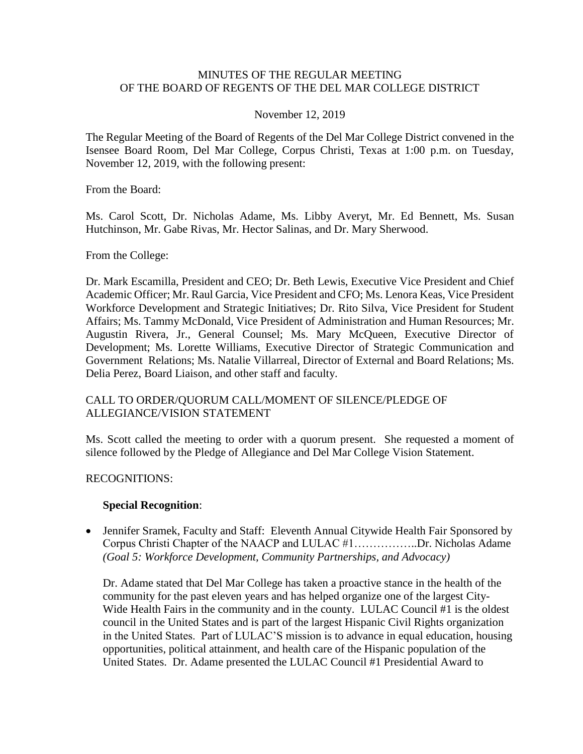### MINUTES OF THE REGULAR MEETING OF THE BOARD OF REGENTS OF THE DEL MAR COLLEGE DISTRICT

#### November 12, 2019

 Isensee Board Room, Del Mar College, Corpus Christi, Texas at 1:00 p.m. on Tuesday, The Regular Meeting of the Board of Regents of the Del Mar College District convened in the November 12, 2019, with the following present:

From the Board:

Ms. Carol Scott, Dr. Nicholas Adame, Ms. Libby Averyt, Mr. Ed Bennett, Ms. Susan Hutchinson, Mr. Gabe Rivas, Mr. Hector Salinas, and Dr. Mary Sherwood.

From the College:

 Academic Officer; Mr. Raul Garcia, Vice President and CFO; Ms. Lenora Keas, Vice President Workforce Development and Strategic Initiatives; Dr. Rito Silva, Vice President for Student Augustin Rivera, Jr., General Counsel; Ms. Mary McQueen, Executive Director of Development; Ms. Lorette Williams, Executive Director of Strategic Communication and Delia Perez, Board Liaison, and other staff and faculty. Dr. Mark Escamilla, President and CEO; Dr. Beth Lewis, Executive Vice President and Chief Affairs; Ms. Tammy McDonald, Vice President of Administration and Human Resources; Mr. Government Relations; Ms. Natalie Villarreal, Director of External and Board Relations; Ms.

### CALL TO ORDER/OUORUM CALL/MOMENT OF SILENCE/PLEDGE OF ALLEGIANCE/VISION STATEMENT

 Ms. Scott called the meeting to order with a quorum present. She requested a moment of silence followed by the Pledge of Allegiance and Del Mar College Vision Statement.

#### RECOGNITIONS:

#### **Special Recognition**:

• Jennifer Sramek, Faculty and Staff: Eleventh Annual Citywide Health Fair Sponsored by Corpus Christi Chapter of the NAACP and LULAC #[1……………..Dr.](https://1�����..Dr) Nicholas Adame *(Goal 5: Workforce Development, Community Partnerships, and Advocacy)* 

 Dr. Adame stated that Del Mar College has taken a proactive stance in the health of the Wide Health Fairs in the community and in the county. LULAC Council #1 is the oldest community for the past eleven years and has helped organize one of the largest Citycouncil in the United States and is part of the largest Hispanic Civil Rights organization in the United States. Part of LULAC'S mission is to advance in equal education, housing opportunities, political attainment, and health care of the Hispanic population of the United States. Dr. Adame presented the LULAC Council #1 Presidential Award to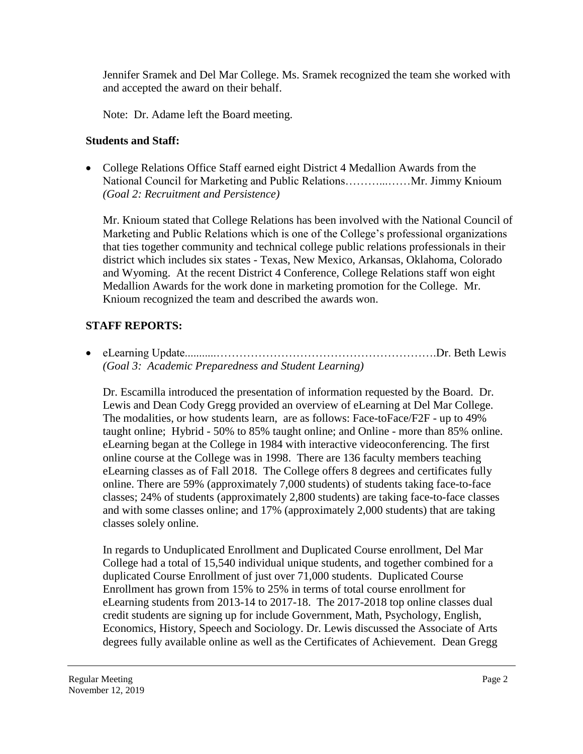Jennifer Sramek and Del Mar College. Ms. Sramek recognized the team she worked with and accepted the award on their behalf.

Note: Dr. Adame left the Board meeting.

## **Students and Staff:**

• College Relations Office Staff earned eight District 4 Medallion Awards from the National Council for Marketing and Public Relations………...……Mr. Jimmy Knioum *(Goal 2: Recruitment and Persistence)* 

Mr. Knioum stated that College Relations has been involved with the National Council of Marketing and Public Relations which is one of the College's professional organizations that ties together community and technical college public relations professionals in their district which includes six states - Texas, New Mexico, Arkansas, Oklahoma, Colorado and Wyoming. At the recent District 4 Conference, College Relations staff won eight Medallion Awards for the work done in marketing promotion for the College. Mr. Knioum recognized the team and described the awards won.

# **STAFF REPORTS:**

 eLearning [Update...........………………………………………………….Dr.](https://Update...........�������������������.Dr) Beth Lewis *(Goal 3: Academic Preparedness and Student Learning)* 

 online. There are 59% (approximately 7,000 students) of students taking face-to-face Dr. Escamilla introduced the presentation of information requested by the Board. Dr. Lewis and Dean Cody Gregg provided an overview of eLearning at Del Mar College. The modalities, or how students learn, are as follows: Face-toFace/F2F - up to 49% taught online; Hybrid - 50% to 85% taught online; and Online - more than 85% online. eLearning began at the College in 1984 with interactive videoconferencing. The first online course at the College was in 1998. There are 136 faculty members teaching eLearning classes as of Fall 2018. The College offers 8 degrees and certificates fully classes; 24% of students (approximately 2,800 students) are taking face-to-face classes and with some classes online; and 17% (approximately 2,000 students) that are taking classes solely online.

 degrees fully available online as well as the Certificates of Achievement. Dean Gregg In regards to Unduplicated Enrollment and Duplicated Course enrollment, Del Mar College had a total of 15,540 individual unique students, and together combined for a duplicated Course Enrollment of just over 71,000 students. Duplicated Course Enrollment has grown from 15% to 25% in terms of total course enrollment for eLearning students from 2013-14 to 2017-18. The 2017-2018 top online classes dual credit students are signing up for include Government, Math, Psychology, English, Economics, History, Speech and Sociology. Dr. Lewis discussed the Associate of Arts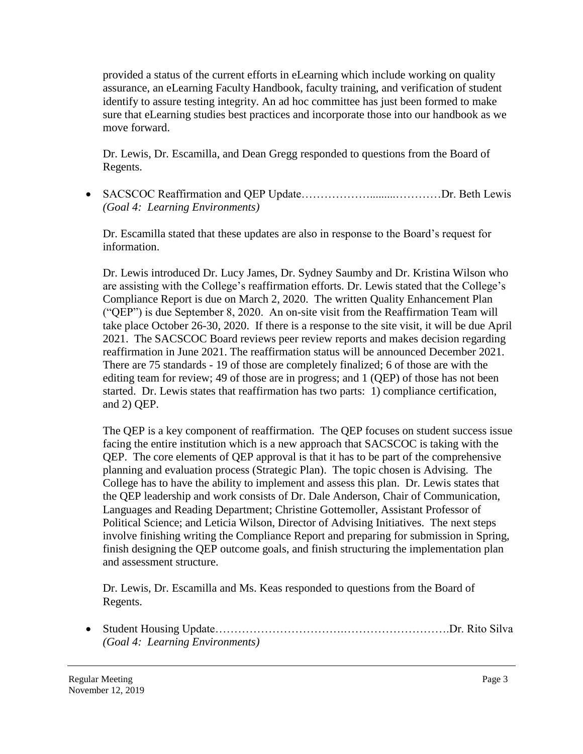provided a status of the current efforts in eLearning which include working on quality assurance, an eLearning Faculty Handbook, faculty training, and verification of student identify to assure testing integrity. An ad hoc committee has just been formed to make sure that eLearning studies best practices and incorporate those into our handbook as we move forward.

Dr. Lewis, Dr. Escamilla, and Dean Gregg responded to questions from the Board of Regents.

 SACSCOC Reaffirmation and QEP Update……………….........…………Dr. Beth Lewis *(Goal 4: Learning Environments)* 

Dr. Escamilla stated that these updates are also in response to the Board's request for information.

Dr. Lewis introduced Dr. Lucy James, Dr. Sydney Saumby and Dr. Kristina Wilson who are assisting with the College's reaffirmation efforts. Dr. Lewis stated that the College's Compliance Report is due on March 2, 2020. The written Quality Enhancement Plan ("QEP") is due September 8, 2020. An on-site visit from the Reaffirmation Team will take place October 26-30, 2020. If there is a response to the site visit, it will be due April 2021. The SACSCOC Board reviews peer review reports and makes decision regarding reaffirmation in June 2021. The reaffirmation status will be announced December 2021. There are 75 standards - 19 of those are completely finalized; 6 of those are with the editing team for review; 49 of those are in progress; and 1 (QEP) of those has not been started. Dr. Lewis states that reaffirmation has two parts: 1) compliance certification, and 2) QEP.

 Political Science; and Leticia Wilson, Director of Advising Initiatives. The next steps The QEP is a key component of reaffirmation. The QEP focuses on student success issue facing the entire institution which is a new approach that SACSCOC is taking with the QEP. The core elements of QEP approval is that it has to be part of the comprehensive planning and evaluation process (Strategic Plan). The topic chosen is Advising. The College has to have the ability to implement and assess this plan. Dr. Lewis states that the QEP leadership and work consists of Dr. Dale Anderson, Chair of Communication, Languages and Reading Department; Christine Gottemoller, Assistant Professor of involve finishing writing the Compliance Report and preparing for submission in Spring, finish designing the QEP outcome goals, and finish structuring the implementation plan and assessment structure.

Dr. Lewis, Dr. Escamilla and Ms. Keas responded to questions from the Board of Regents.

 Student Housing [Update…………………………….……………………….Dr.](https://Update�����������.���������.Dr) Rito Silva *(Goal 4: Learning Environments)*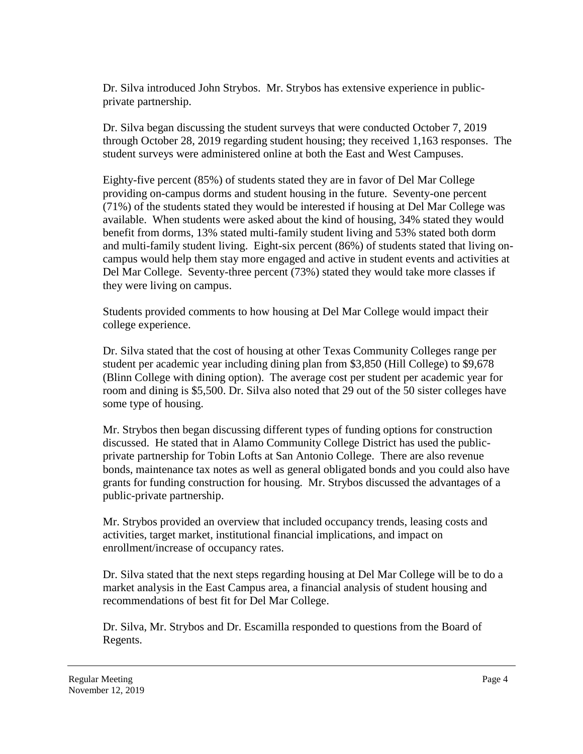Dr. Silva introduced John Strybos. Mr. Strybos has extensive experience in publicprivate partnership.

Dr. Silva began discussing the student surveys that were conducted October 7, 2019 through October 28, 2019 regarding student housing; they received 1,163 responses. The student surveys were administered online at both the East and West Campuses.

 (71%) of the students stated they would be interested if housing at Del Mar College was Eighty-five percent (85%) of students stated they are in favor of Del Mar College providing on-campus dorms and student housing in the future. Seventy-one percent available. When students were asked about the kind of housing, 34% stated they would benefit from dorms, 13% stated multi-family student living and 53% stated both dorm and multi-family student living. Eight-six percent (86%) of students stated that living oncampus would help them stay more engaged and active in student events and activities at Del Mar College. Seventy-three percent (73%) stated they would take more classes if they were living on campus.

Students provided comments to how housing at Del Mar College would impact their college experience.

 (Blinn College with dining option). The average cost per student per academic year for Dr. Silva stated that the cost of housing at other Texas Community Colleges range per student per academic year including dining plan from \$3,850 (Hill College) to \$9,678 room and dining is \$5,500. Dr. Silva also noted that 29 out of the 50 sister colleges have some type of housing.

 private partnership for Tobin Lofts at San Antonio College. There are also revenue Mr. Strybos then began discussing different types of funding options for construction discussed. He stated that in Alamo Community College District has used the publicbonds, maintenance tax notes as well as general obligated bonds and you could also have grants for funding construction for housing. Mr. Strybos discussed the advantages of a public-private partnership.

Mr. Strybos provided an overview that included occupancy trends, leasing costs and activities, target market, institutional financial implications, and impact on enrollment/increase of occupancy rates.

Dr. Silva stated that the next steps regarding housing at Del Mar College will be to do a market analysis in the East Campus area, a financial analysis of student housing and recommendations of best fit for Del Mar College.

Dr. Silva, Mr. Strybos and Dr. Escamilla responded to questions from the Board of Regents.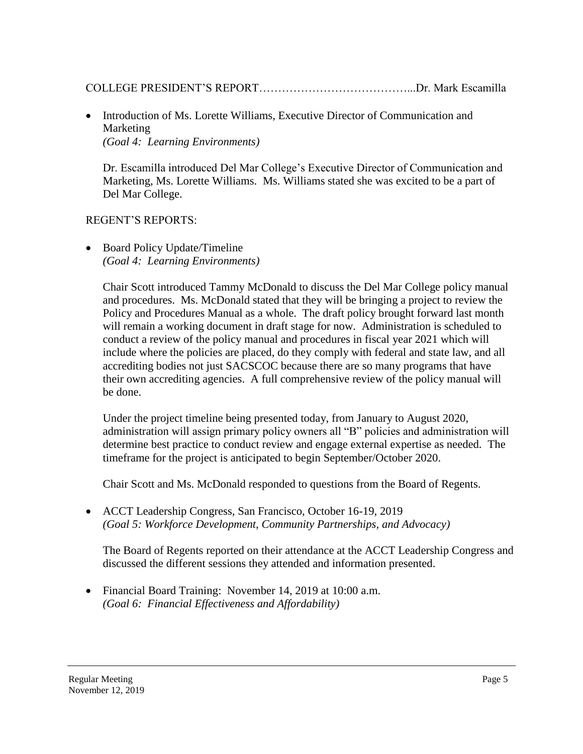## COLLEGE PRESIDENT'S [REPORT…………………………………...Dr.](https://REPORT�������������...Dr) Mark Escamilla

• Introduction of Ms. Lorette Williams, Executive Director of Communication and Marketing *(Goal 4: Learning Environments)* 

 Marketing, Ms. Lorette Williams. Ms. Williams stated she was excited to be a part of Dr. Escamilla introduced Del Mar College's Executive Director of Communication and Del Mar College.

### REGENT'S REPORTS:

• Board Policy Update/Timeline *(Goal 4: Learning Environments)* 

 will remain a working document in draft stage for now. Administration is scheduled to Chair Scott introduced Tammy McDonald to discuss the Del Mar College policy manual and procedures. Ms. McDonald stated that they will be bringing a project to review the Policy and Procedures Manual as a whole. The draft policy brought forward last month conduct a review of the policy manual and procedures in fiscal year 2021 which will include where the policies are placed, do they comply with federal and state law, and all accrediting bodies not just SACSCOC because there are so many programs that have their own accrediting agencies. A full comprehensive review of the policy manual will be done.

Under the project timeline being presented today, from January to August 2020, administration will assign primary policy owners all "B" policies and administration will determine best practice to conduct review and engage external expertise as needed. The timeframe for the project is anticipated to begin September/October 2020.

Chair Scott and Ms. McDonald responded to questions from the Board of Regents.

 ACCT Leadership Congress, San Francisco, October 16-19, 2019 *(Goal 5: Workforce Development, Community Partnerships, and Advocacy)* 

The Board of Regents reported on their attendance at the ACCT Leadership Congress and discussed the different sessions they attended and information presented.

 Financial Board Training: November 14, 2019 at 10:00 a.m. *(Goal 6: Financial Effectiveness and Affordability)*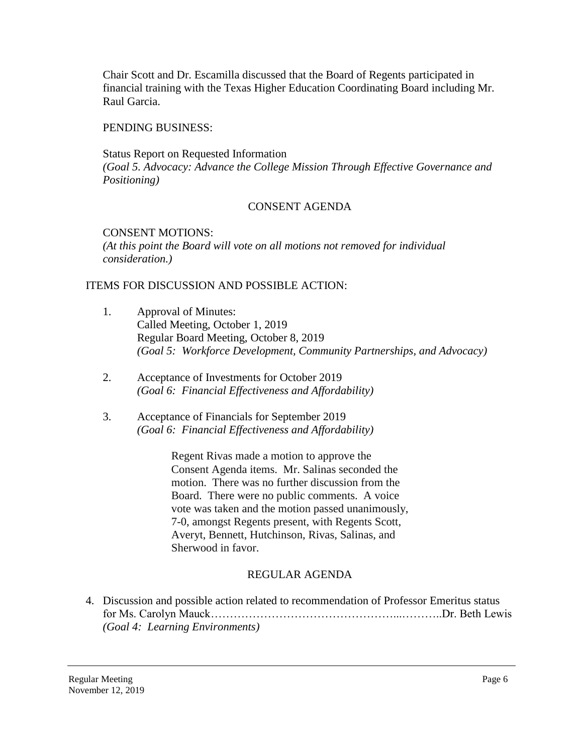Chair Scott and Dr. Escamilla discussed that the Board of Regents participated in financial training with the Texas Higher Education Coordinating Board including Mr. Raul Garcia.

### PENDING BUSINESS:

Status Report on Requested Information *(Goal 5. Advocacy: Advance the College Mission Through Effective Governance and Positioning)* 

# CONSENT AGENDA

## CONSENT MOTIONS:

*(At this point the Board will vote on all motions not removed for individual consideration.)* 

## ITEMS FOR DISCUSSION AND POSSIBLE ACTION:

- 1. Approval of Minutes: Called Meeting, October 1, 2019 Regular Board Meeting, October 8, 2019 *(Goal 5: Workforce Development, Community Partnerships, and Advocacy)*
- 2. Acceptance of Investments for October 2019 *(Goal 6: Financial Effectiveness and Affordability)*
- 3. Acceptance of Financials for September 2019 *(Goal 6: Financial Effectiveness and Affordability)*

Regent Rivas made a motion to approve the Consent Agenda items. Mr. Salinas seconded the motion. There was no further discussion from the Board. There were no public comments. A voice vote was taken and the motion passed unanimously, 7-0, amongst Regents present, with Regents Scott, Averyt, Bennett, Hutchinson, Rivas, Salinas, and Sherwood in favor.

# REGULAR AGENDA

4. Discussion and possible action related to recommendation of Professor Emeritus status for Ms. Carolyn [Mauck…………………………………………...………..Dr.](https://Mauck����������������...���..Dr) Beth Lewis *(Goal 4: Learning Environments)*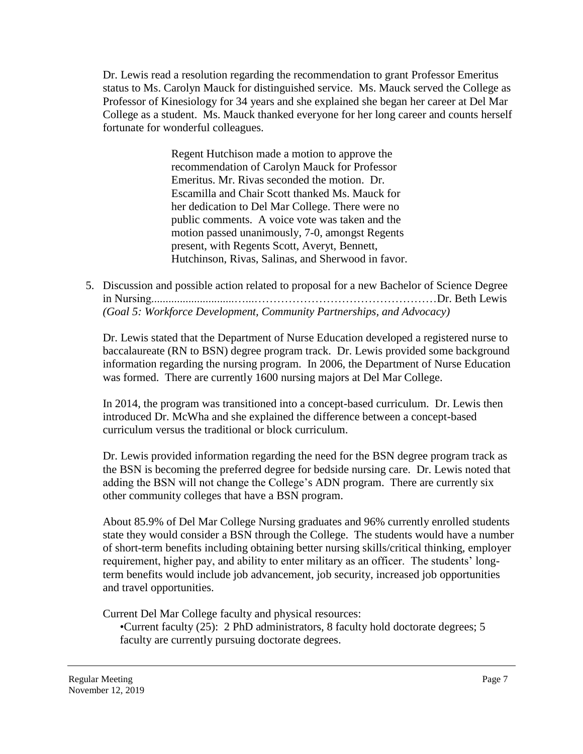Dr. Lewis read a resolution regarding the recommendation to grant Professor Emeritus status to Ms. Carolyn Mauck for distinguished service. Ms. Mauck served the College as Professor of Kinesiology for 34 years and she explained she began her career at Del Mar College as a student. Ms. Mauck thanked everyone for her long career and counts herself fortunate for wonderful colleagues.

> Regent Hutchison made a motion to approve the recommendation of Carolyn Mauck for Professor Emeritus. Mr. Rivas seconded the motion. Dr. Escamilla and Chair Scott thanked Ms. Mauck for her dedication to Del Mar College. There were no public comments. A voice vote was taken and the motion passed unanimously, 7-0, amongst Regents present, with Regents Scott, Averyt, Bennett, Hutchinson, Rivas, Salinas, and Sherwood in favor.

5. Discussion and possible action related to proposal for a new Bachelor of Science Degree in Nursing.............................…...…………………………………………Dr. Beth Lewis *(Goal 5: Workforce Development, Community Partnerships, and Advocacy)* 

Dr. Lewis stated that the Department of Nurse Education developed a registered nurse to baccalaureate (RN to BSN) degree program track. Dr. Lewis provided some background information regarding the nursing program. In 2006, the Department of Nurse Education was formed. There are currently 1600 nursing majors at Del Mar College.

In 2014, the program was transitioned into a concept-based curriculum. Dr. Lewis then introduced Dr. McWha and she explained the difference between a concept-based curriculum versus the traditional or block curriculum.

 adding the BSN will not change the College's ADN program. There are currently six Dr. Lewis provided information regarding the need for the BSN degree program track as the BSN is becoming the preferred degree for bedside nursing care. Dr. Lewis noted that other community colleges that have a BSN program.

About 85.9% of Del Mar College Nursing graduates and 96% currently enrolled students state they would consider a BSN through the College. The students would have a number of short-term benefits including obtaining better nursing skills/critical thinking, employer requirement, higher pay, and ability to enter military as an officer. The students' longterm benefits would include job advancement, job security, increased job opportunities and travel opportunities.

Current Del Mar College faculty and physical resources:

•Current faculty (25): 2 PhD administrators, 8 faculty hold doctorate degrees; 5 faculty are currently pursuing doctorate degrees.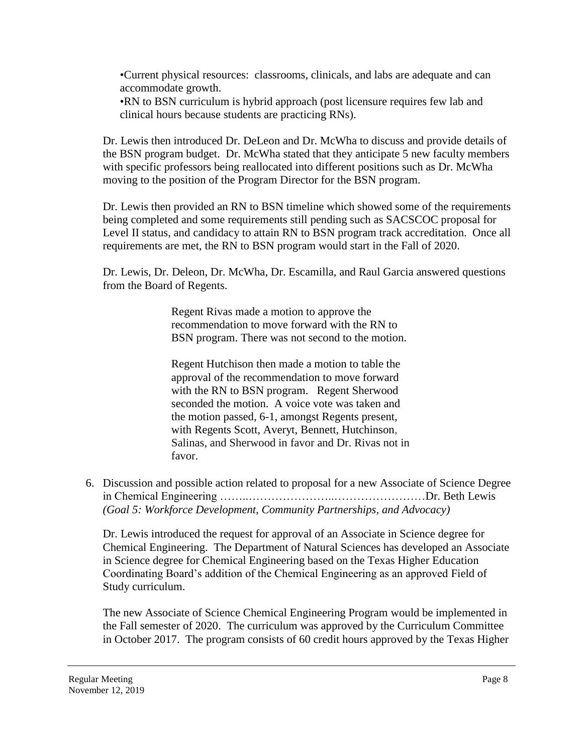•Current physical resources: classrooms, clinicals, and labs are adequate and can accommodate growth.

•RN to BSN curriculum is hybrid approach (post licensure requires few lab and clinical hours because students are practicing RNs).

Dr. Lewis then introduced Dr. DeLeon and Dr. McWha to discuss and provide details of the BSN program budget. Dr. McWha stated that they anticipate 5 new faculty members with specific professors being reallocated into different positions such as Dr. McWha moving to the position of the Program Director for the BSN program.

Dr. Lewis then provided an RN to BSN timeline which showed some of the requirements being completed and some requirements still pending such as SACSCOC proposal for Level II status, and candidacy to attain RN to BSN program track accreditation. Once all requirements are met, the RN to BSN program would start in the Fall of 2020.

Dr. Lewis, Dr. Deleon, Dr. McWha, Dr. Escamilla, and Raul Garcia answered questions from the Board of Regents.

> Regent Rivas made a motion to approve the recommendation to move forward with the RN to BSN program. There was not second to the motion.

Regent Hutchison then made a motion to table the approval of the recommendation to move forward with the RN to BSN program. Regent Sherwood seconded the motion. A voice vote was taken and the motion passed, 6-1, amongst Regents present, with Regents Scott, Averyt, Bennett, Hutchinson, Salinas, and Sherwood in favor and Dr. Rivas not in favor.

 6. Discussion and possible action related to proposal for a new Associate of Science Degree in Chemical Engineering ……..…………………..……………………Dr. Beth Lewis *(Goal 5: Workforce Development, Community Partnerships, and Advocacy)* 

Dr. Lewis introduced the request for approval of an Associate in Science degree for Chemical Engineering. The Department of Natural Sciences has developed an Associate in Science degree for Chemical Engineering based on the Texas Higher Education Coordinating Board's addition of the Chemical Engineering as an approved Field of Study curriculum.

The new Associate of Science Chemical Engineering Program would be implemented in the Fall semester of 2020. The curriculum was approved by the Curriculum Committee in October 2017. The program consists of 60 credit hours approved by the Texas Higher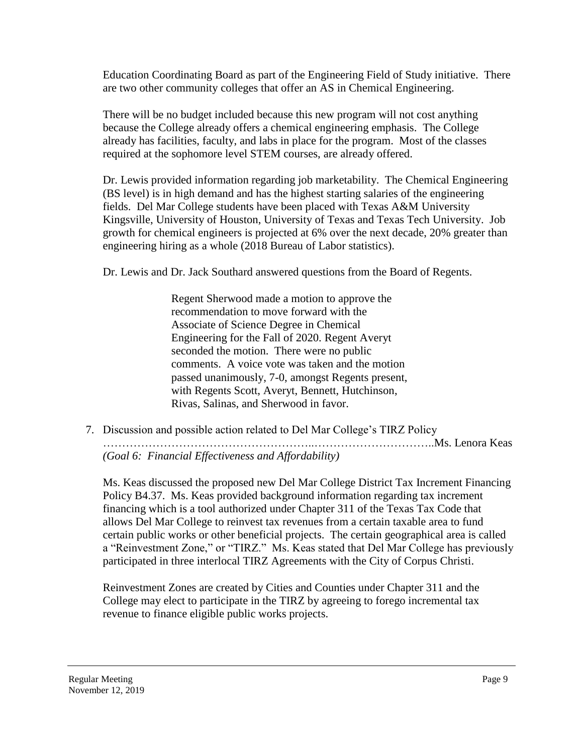Education Coordinating Board as part of the Engineering Field of Study initiative. There are two other community colleges that offer an AS in Chemical Engineering.

There will be no budget included because this new program will not cost anything because the College already offers a chemical engineering emphasis. The College already has facilities, faculty, and labs in place for the program. Most of the classes required at the sophomore level STEM courses, are already offered.

Dr. Lewis provided information regarding job marketability. The Chemical Engineering (BS level) is in high demand and has the highest starting salaries of the engineering fields. Del Mar College students have been placed with Texas A&M University Kingsville, University of Houston, University of Texas and Texas Tech University. Job growth for chemical engineers is projected at 6% over the next decade, 20% greater than engineering hiring as a whole (2018 Bureau of Labor statistics).

Dr. Lewis and Dr. Jack Southard answered questions from the Board of Regents.

Regent Sherwood made a motion to approve the recommendation to move forward with the Associate of Science Degree in Chemical Engineering for the Fall of 2020. Regent Averyt seconded the motion. There were no public comments. A voice vote was taken and the motion passed unanimously, 7-0, amongst Regents present, with Regents Scott, Averyt, Bennett, Hutchinson, Rivas, Salinas, and Sherwood in favor.

7. Discussion and possible action related to Del Mar College's TIRZ Policy ………………………………………………..…………………………..Ms. Lenora Keas *(Goal 6: Financial Effectiveness and Affordability)* 

 Ms. Keas discussed the proposed new Del Mar College District Tax Increment Financing Policy B4.37. Ms. Keas provided background information regarding tax increment financing which is a tool authorized under Chapter 311 of the Texas Tax Code that allows Del Mar College to reinvest tax revenues from a certain taxable area to fund certain public works or other beneficial projects. The certain geographical area is called a "Reinvestment Zone," or "TIRZ." Ms. Keas stated that Del Mar College has previously participated in three interlocal TIRZ Agreements with the City of Corpus Christi.

Reinvestment Zones are created by Cities and Counties under Chapter 311 and the College may elect to participate in the TIRZ by agreeing to forego incremental tax revenue to finance eligible public works projects.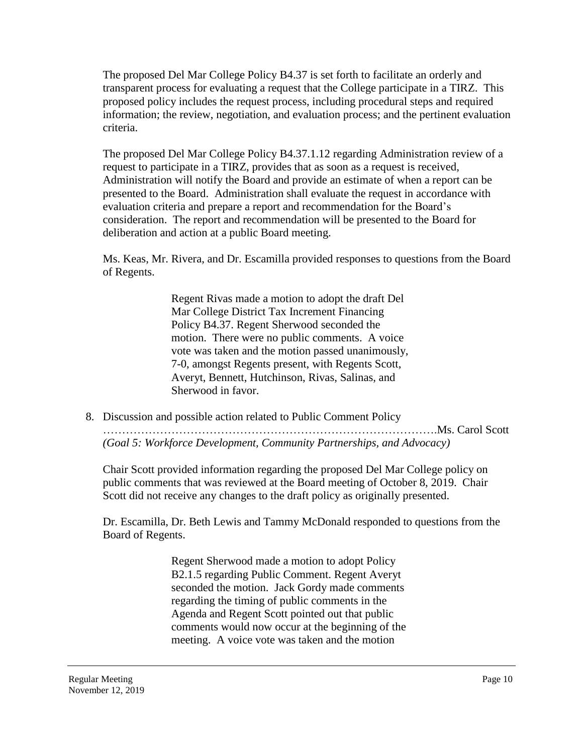The proposed Del Mar College Policy B4.37 is set forth to facilitate an orderly and transparent process for evaluating a request that the College participate in a TIRZ. This proposed policy includes the request process, including procedural steps and required information; the review, negotiation, and evaluation process; and the pertinent evaluation criteria.

The proposed Del Mar College Policy [B4.37.1.12](https://B4.37.1.12) regarding Administration review of a request to participate in a TIRZ, provides that as soon as a request is received, Administration will notify the Board and provide an estimate of when a report can be presented to the Board. Administration shall evaluate the request in accordance with evaluation criteria and prepare a report and recommendation for the Board's consideration. The report and recommendation will be presented to the Board for deliberation and action at a public Board meeting.

Ms. Keas, Mr. Rivera, and Dr. Escamilla provided responses to questions from the Board of Regents.

> Regent Rivas made a motion to adopt the draft Del Mar College District Tax Increment Financing Policy B4.37. Regent Sherwood seconded the motion. There were no public comments. A voice vote was taken and the motion passed unanimously, 7-0, amongst Regents present, with Regents Scott, Averyt, Bennett, Hutchinson, Rivas, Salinas, and Sherwood in favor.

8. Discussion and possible action related to Public Comment Policy …………………………………………………………………………….Ms. Carol Scott *(Goal 5: Workforce Development, Community Partnerships, and Advocacy)* 

Scott did not receive any changes to the draft policy as originally presented. Chair Scott provided information regarding the proposed Del Mar College policy on public comments that was reviewed at the Board meeting of October 8, 2019. Chair

Dr. Escamilla, Dr. Beth Lewis and Tammy McDonald responded to questions from the Board of Regents.

> Regent Sherwood made a motion to adopt Policy B2.1.5 regarding Public Comment. Regent Averyt seconded the motion. Jack Gordy made comments regarding the timing of public comments in the Agenda and Regent Scott pointed out that public comments would now occur at the beginning of the meeting. A voice vote was taken and the motion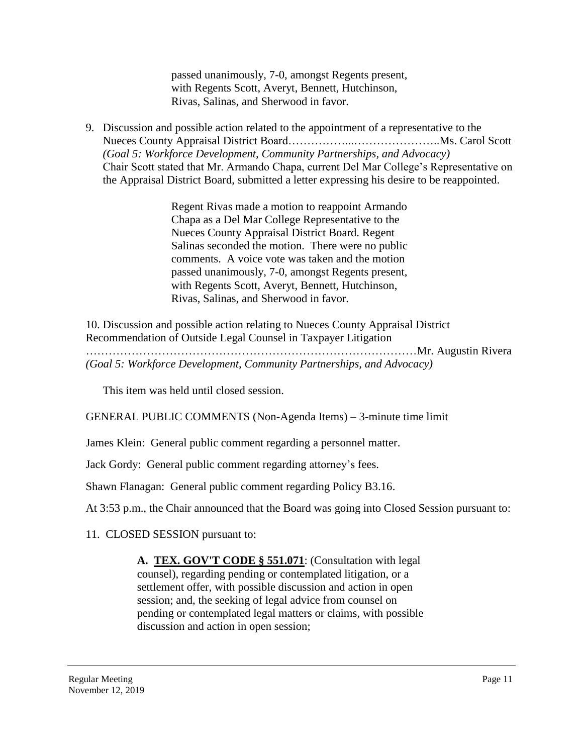passed unanimously, 7-0, amongst Regents present, with Regents Scott, Averyt, Bennett, Hutchinson, Rivas, Salinas, and Sherwood in favor.

9. Discussion and possible action related to the appointment of a representative to the Nueces County Appraisal District [Board……………...…………………..Ms](https://Board�����...�������..Ms). Carol Scott *(Goal 5: Workforce Development, Community Partnerships, and Advocacy)*  Chair Scott stated that Mr. Armando Chapa, current Del Mar College's Representative on the Appraisal District Board, submitted a letter expressing his desire to be reappointed.

> Regent Rivas made a motion to reappoint Armando Chapa as a Del Mar College Representative to the Nueces County Appraisal District Board. Regent Salinas seconded the motion. There were no public comments. A voice vote was taken and the motion passed unanimously, 7-0, amongst Regents present, with Regents Scott, Averyt, Bennett, Hutchinson, Rivas, Salinas, and Sherwood in favor.

10. Discussion and possible action relating to Nueces County Appraisal District Recommendation of Outside Legal Counsel in Taxpayer Litigation ……………………………………………………………………………Mr. Augustin Rivera *(Goal 5: Workforce Development, Community Partnerships, and Advocacy)* 

This item was held until closed session.

GENERAL PUBLIC COMMENTS (Non-Agenda Items) – 3-minute time limit

James Klein: General public comment regarding a personnel matter.

Jack Gordy: General public comment regarding attorney's fees.

Shawn Flanagan: General public comment regarding Policy B3.16.

At 3:53 p.m., the Chair announced that the Board was going into Closed Session pursuant to:

11. CLOSED SESSION pursuant to:

**A. TEX. GOV'T CODE § 551.071**: (Consultation with legal counsel), regarding pending or contemplated litigation, or a settlement offer, with possible discussion and action in open session; and, the seeking of legal advice from counsel on pending or contemplated legal matters or claims, with possible discussion and action in open session;